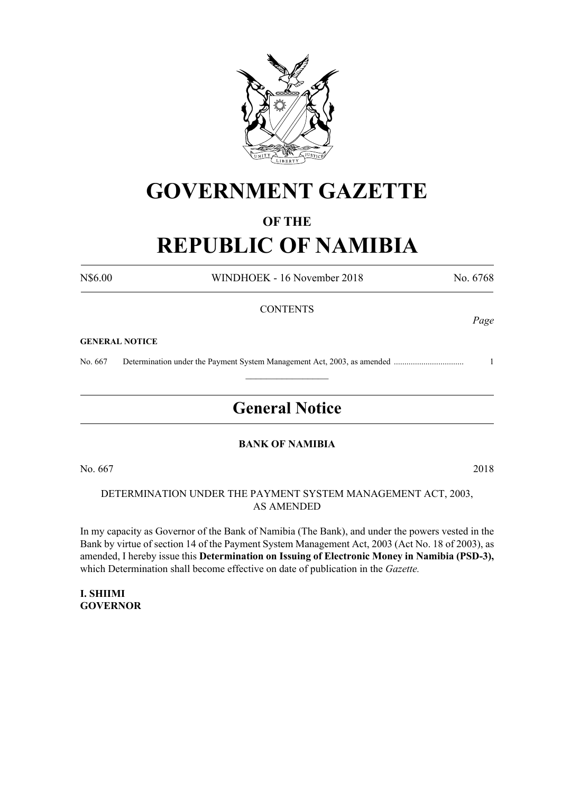

# **GOVERNMENT GAZETTE**

# **OF THE**

# **REPUBLIC OF NAMIBIA**

N\$6.00 WINDHOEK - 16 November 2018 No. 6768

*Page*

#### **CONTENTS**

#### **GENERAL NOTICE**

No. 667 Determination under the Payment System Management Act, 2003, as amended ................................. 1

# **General Notice**

 $\frac{1}{2}$ 

#### **BANK OF NAMIBIA**

No. 667 2018

#### DETERMINATION UNDER THE PAYMENT SYSTEM MANAGEMENT ACT, 2003, AS AMENDED

In my capacity as Governor of the Bank of Namibia (The Bank), and under the powers vested in the Bank by virtue of section 14 of the Payment System Management Act, 2003 (Act No. 18 of 2003), as amended, I hereby issue this **Determination on Issuing of Electronic Money in Namibia (PSD-3),**  which Determination shall become effective on date of publication in the *Gazette.*

**I. SHIIMI GOVERNOR**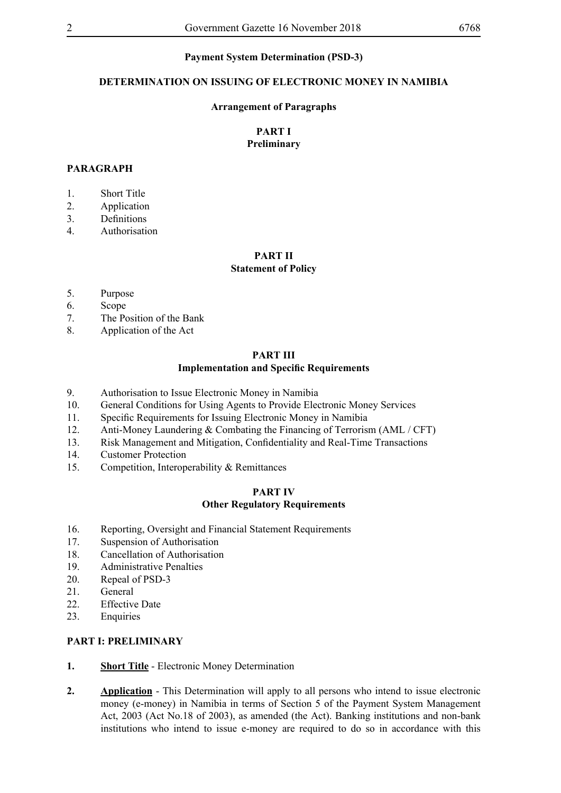#### **Payment System Determination (PSD-3)**

#### **DETERMINATION ON ISSUING OF ELECTRONIC MONEY IN NAMIBIA**

#### **Arrangement of Paragraphs**

#### **PART I Preliminary**

#### **PARAGRAPH**

- 1. Short Title
- 2. Application
- 3. Definitions
- 4. Authorisation

# **PART II**

# **Statement of Policy**

- 5. Purpose
- 6. Scope
- 7. The Position of the Bank
- 8. Application of the Act

# **PART III Implementation and Specific Requirements**

- 9. Authorisation to Issue Electronic Money in Namibia
- 10. General Conditions for Using Agents to Provide Electronic Money Services
- 11. Specific Requirements for Issuing Electronic Money in Namibia
- 12. Anti-Money Laundering & Combating the Financing of Terrorism (AML / CFT)
- 13. Risk Management and Mitigation, Confidentiality and Real-Time Transactions
- 14. Customer Protection
- 15. Competition, Interoperability & Remittances

#### **PART IV Other Regulatory Requirements**

- 16. Reporting, Oversight and Financial Statement Requirements
- 17. Suspension of Authorisation
- 18. Cancellation of Authorisation
- 19. Administrative Penalties
- 20. Repeal of PSD-3
- 21. General
- 22. Effective Date
- 23. Enquiries

#### **PART I: PRELIMINARY**

- **1. Short Title** Electronic Money Determination
- **2. Application** This Determination will apply to all persons who intend to issue electronic money (e-money) in Namibia in terms of Section 5 of the Payment System Management Act, 2003 (Act No.18 of 2003), as amended (the Act). Banking institutions and non-bank institutions who intend to issue e-money are required to do so in accordance with this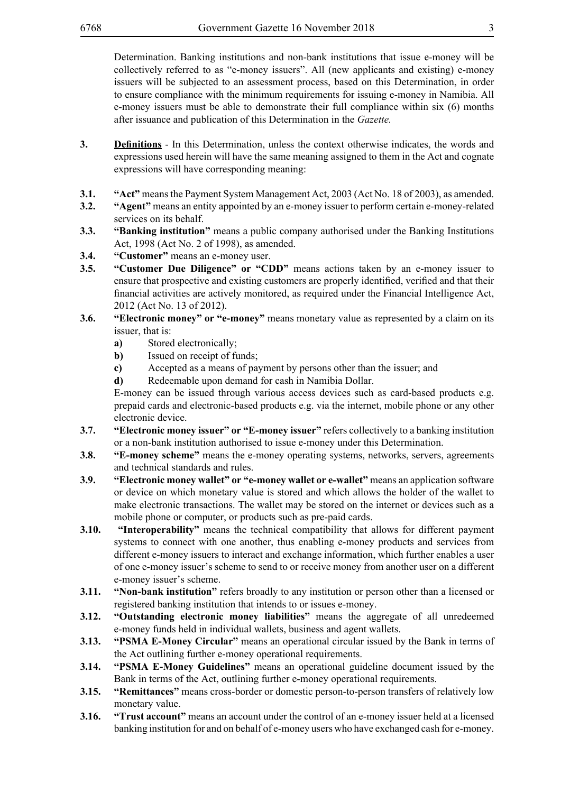Determination. Banking institutions and non-bank institutions that issue e-money will be collectively referred to as "e-money issuers". All (new applicants and existing) e-money issuers will be subjected to an assessment process, based on this Determination, in order to ensure compliance with the minimum requirements for issuing e-money in Namibia. All e-money issuers must be able to demonstrate their full compliance within six (6) months after issuance and publication of this Determination in the *Gazette.*

- **3. Definitions** In this Determination, unless the context otherwise indicates, the words and expressions used herein will have the same meaning assigned to them in the Act and cognate expressions will have corresponding meaning:
- **3.1. "Act"** means the Payment System Management Act, 2003 (Act No. 18 of 2003), as amended.
- **3.2. "Agent"** means an entity appointed by an e-money issuer to perform certain e-money-related services on its behalf.
- **3.3. "Banking institution"** means a public company authorised under the Banking Institutions Act, 1998 (Act No. 2 of 1998), as amended.
- **3.4. "Customer"** means an e-money user.
- **3.5. "Customer Due Diligence" or "CDD"** means actions taken by an e-money issuer to ensure that prospective and existing customers are properly identified, verified and that their financial activities are actively monitored, as required under the Financial Intelligence Act, 2012 (Act No. 13 of 2012).
- **3.6. "Electronic money" or "e-money"** means monetary value as represented by a claim on its issuer, that is:
	- **a)** Stored electronically;
	- **b**) Issued on receipt of funds;
	- **c)** Accepted as a means of payment by persons other than the issuer; and
	- **d)** Redeemable upon demand for cash in Namibia Dollar.

E-money can be issued through various access devices such as card-based products e.g. prepaid cards and electronic-based products e.g. via the internet, mobile phone or any other electronic device.

- **3.7. "Electronic money issuer" or "E-money issuer"** refers collectively to a banking institution or a non-bank institution authorised to issue e-money under this Determination.
- **3.8. "E-money scheme"** means the e-money operating systems, networks, servers, agreements and technical standards and rules.
- **3.9. "Electronic money wallet" or "e-money wallet or e-wallet"** means an application software or device on which monetary value is stored and which allows the holder of the wallet to make electronic transactions. The wallet may be stored on the internet or devices such as a mobile phone or computer, or products such as pre-paid cards.
- **3.10.** "Interoperability" means the technical compatibility that allows for different payment systems to connect with one another, thus enabling e-money products and services from different e-money issuers to interact and exchange information, which further enables a user of one e-money issuer's scheme to send to or receive money from another user on a different e-money issuer's scheme.
- **3.11. "Non-bank institution"** refers broadly to any institution or person other than a licensed or registered banking institution that intends to or issues e-money.
- **3.12. "Outstanding electronic money liabilities"** means the aggregate of all unredeemed e-money funds held in individual wallets, business and agent wallets.
- **3.13. "PSMA E-Money Circular"** means an operational circular issued by the Bank in terms of the Act outlining further e-money operational requirements.
- **3.14. "PSMA E-Money Guidelines"** means an operational guideline document issued by the Bank in terms of the Act, outlining further e-money operational requirements.
- **3.15. "Remittances"** means cross-border or domestic person-to-person transfers of relatively low monetary value.
- **3.16. "Trust account"** means an account under the control of an e-money issuer held at a licensed banking institution for and on behalf of e-money users who have exchanged cash for e-money.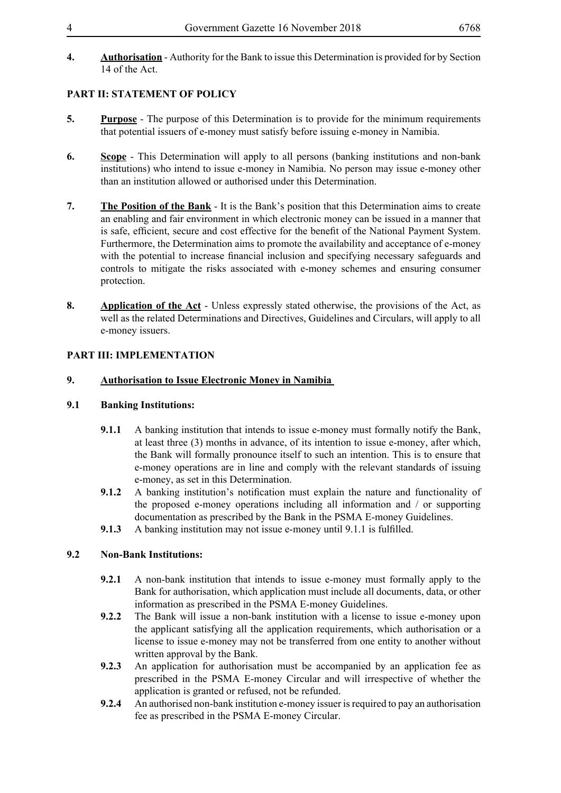**4. Authorisation** - Authority for the Bank to issue this Determination is provided for by Section 14 of the Act.

# **PART II: STATEMENT OF POLICY**

- **5. Purpose** The purpose of this Determination is to provide for the minimum requirements that potential issuers of e-money must satisfy before issuing e-money in Namibia.
- **6. Scope** This Determination will apply to all persons (banking institutions and non-bank institutions) who intend to issue e-money in Namibia. No person may issue e-money other than an institution allowed or authorised under this Determination.
- **7. The Position of the Bank** It is the Bank's position that this Determination aims to create an enabling and fair environment in which electronic money can be issued in a manner that is safe, efficient, secure and cost effective for the benefit of the National Payment System. Furthermore, the Determination aims to promote the availability and acceptance of e-money with the potential to increase financial inclusion and specifying necessary safeguards and controls to mitigate the risks associated with e-money schemes and ensuring consumer protection.
- **8. Application of the Act** Unless expressly stated otherwise, the provisions of the Act, as well as the related Determinations and Directives, Guidelines and Circulars, will apply to all e-money issuers.

# **PART III: IMPLEMENTATION**

## **9. Authorisation to Issue Electronic Money in Namibia**

## **9.1 Banking Institutions:**

- **9.1.1** A banking institution that intends to issue e-money must formally notify the Bank, at least three (3) months in advance, of its intention to issue e-money, after which, the Bank will formally pronounce itself to such an intention. This is to ensure that e-money operations are in line and comply with the relevant standards of issuing e-money, as set in this Determination.
- **9.1.2** A banking institution's notification must explain the nature and functionality of the proposed e-money operations including all information and / or supporting documentation as prescribed by the Bank in the PSMA E-money Guidelines.
- **9.1.3** A banking institution may not issue e-money until 9.1.1 is fulfilled.

## **9.2 Non-Bank Institutions:**

- **9.2.1** A non-bank institution that intends to issue e-money must formally apply to the Bank for authorisation, which application must include all documents, data, or other information as prescribed in the PSMA E-money Guidelines.
- **9.2.2** The Bank will issue a non-bank institution with a license to issue e-money upon the applicant satisfying all the application requirements, which authorisation or a license to issue e-money may not be transferred from one entity to another without written approval by the Bank.
- **9.2.3** An application for authorisation must be accompanied by an application fee as prescribed in the PSMA E-money Circular and will irrespective of whether the application is granted or refused, not be refunded.
- **9.2.4** An authorised non-bank institution e-money issuer is required to pay an authorisation fee as prescribed in the PSMA E-money Circular.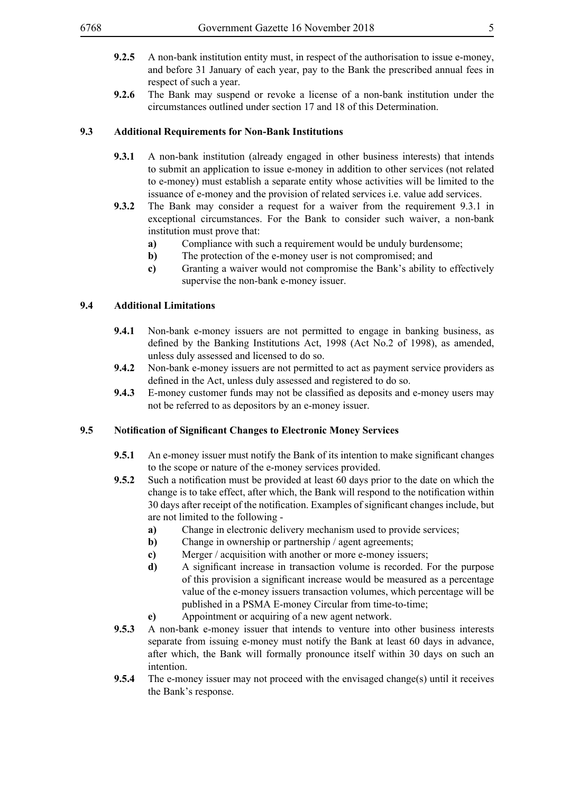- 
- **9.2.5** A non-bank institution entity must, in respect of the authorisation to issue e-money, and before 31 January of each year, pay to the Bank the prescribed annual fees in respect of such a year.
- **9.2.6** The Bank may suspend or revoke a license of a non-bank institution under the circumstances outlined under section 17 and 18 of this Determination.

#### **9.3 Additional Requirements for Non-Bank Institutions**

- **9.3.1** A non-bank institution (already engaged in other business interests) that intends to submit an application to issue e-money in addition to other services (not related to e-money) must establish a separate entity whose activities will be limited to the issuance of e-money and the provision of related services i.e. value add services.
- **9.3.2** The Bank may consider a request for a waiver from the requirement 9.3.1 in exceptional circumstances. For the Bank to consider such waiver, a non-bank institution must prove that:
	- **a)** Compliance with such a requirement would be unduly burdensome;
	- **b**) The protection of the e-money user is not compromised; and
	- **c)** Granting a waiver would not compromise the Bank's ability to effectively supervise the non-bank e-money issuer.

#### **9.4 Additional Limitations**

- **9.4.1** Non-bank e-money issuers are not permitted to engage in banking business, as defined by the Banking Institutions Act, 1998 (Act No.2 of 1998), as amended, unless duly assessed and licensed to do so.
- **9.4.2** Non-bank e-money issuers are not permitted to act as payment service providers as defined in the Act, unless duly assessed and registered to do so.
- **9.4.3** E-money customer funds may not be classified as deposits and e-money users may not be referred to as depositors by an e-money issuer.

## **9.5 Notification of Significant Changes to Electronic Money Services**

- **9.5.1** An e-money issuer must notify the Bank of its intention to make significant changes to the scope or nature of the e-money services provided.
- **9.5.2** Such a notification must be provided at least 60 days prior to the date on which the change is to take effect, after which, the Bank will respond to the notification within 30 days after receipt of the notification. Examples of significant changes include, but are not limited to the following
	- **a)** Change in electronic delivery mechanism used to provide services;
	- **b**) Change in ownership or partnership / agent agreements;
	- **c)** Merger / acquisition with another or more e-money issuers;
	- **d)** A significant increase in transaction volume is recorded. For the purpose of this provision a significant increase would be measured as a percentage value of the e-money issuers transaction volumes, which percentage will be published in a PSMA E-money Circular from time-to-time;
	- **e)** Appointment or acquiring of a new agent network.
- **9.5.3** A non-bank e-money issuer that intends to venture into other business interests separate from issuing e-money must notify the Bank at least 60 days in advance, after which, the Bank will formally pronounce itself within 30 days on such an intention.
- **9.5.4** The e-money issuer may not proceed with the envisaged change(s) until it receives the Bank's response.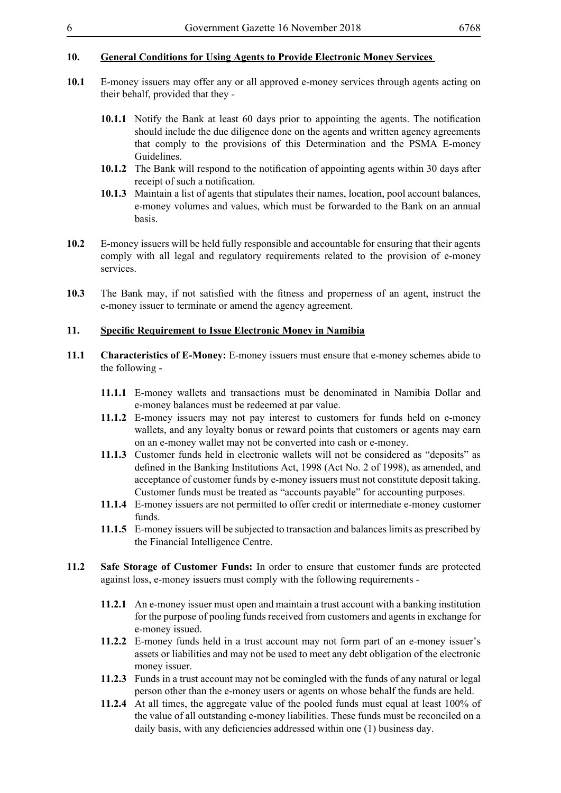# **10. General Conditions for Using Agents to Provide Electronic Money Services**

- **10.1** E-money issuers may offer any or all approved e-money services through agents acting on their behalf, provided that they -
	- **10.1.1** Notify the Bank at least 60 days prior to appointing the agents. The notification should include the due diligence done on the agents and written agency agreements that comply to the provisions of this Determination and the PSMA E-money Guidelines.
	- **10.1.2** The Bank will respond to the notification of appointing agents within 30 days after receipt of such a notification.
	- **10.1.3** Maintain a list of agents that stipulates their names, location, pool account balances, e-money volumes and values, which must be forwarded to the Bank on an annual basis.
- **10.2** E-money issuers will be held fully responsible and accountable for ensuring that their agents comply with all legal and regulatory requirements related to the provision of e-money services.
- **10.3** The Bank may, if not satisfied with the fitness and properness of an agent, instruct the e-money issuer to terminate or amend the agency agreement.

#### **11. Specific Requirement to Issue Electronic Money in Namibia**

- **11.1 Characteristics of E-Money:** E-money issuers must ensure that e-money schemes abide to the following -
	- **11.1.1** E-money wallets and transactions must be denominated in Namibia Dollar and e-money balances must be redeemed at par value.
	- **11.1.2** E-money issuers may not pay interest to customers for funds held on e-money wallets, and any loyalty bonus or reward points that customers or agents may earn on an e-money wallet may not be converted into cash or e-money.
	- **11.1.3** Customer funds held in electronic wallets will not be considered as "deposits" as defined in the Banking Institutions Act, 1998 (Act No. 2 of 1998), as amended, and acceptance of customer funds by e-money issuers must not constitute deposit taking. Customer funds must be treated as "accounts payable" for accounting purposes.
	- **11.1.4** E-money issuers are not permitted to offer credit or intermediate e-money customer funds.
	- **11.1.5** E-money issuers will be subjected to transaction and balances limits as prescribed by the Financial Intelligence Centre.
- **11.2 Safe Storage of Customer Funds:** In order to ensure that customer funds are protected against loss, e-money issuers must comply with the following requirements -
	- **11.2.1** An e-money issuer must open and maintain a trust account with a banking institution for the purpose of pooling funds received from customers and agents in exchange for e-money issued.
	- **11.2.2** E-money funds held in a trust account may not form part of an e-money issuer's assets or liabilities and may not be used to meet any debt obligation of the electronic money issuer.
	- **11.2.3** Funds in a trust account may not be comingled with the funds of any natural or legal person other than the e-money users or agents on whose behalf the funds are held.
	- **11.2.4** At all times, the aggregate value of the pooled funds must equal at least 100% of the value of all outstanding e-money liabilities. These funds must be reconciled on a daily basis, with any deficiencies addressed within one (1) business day.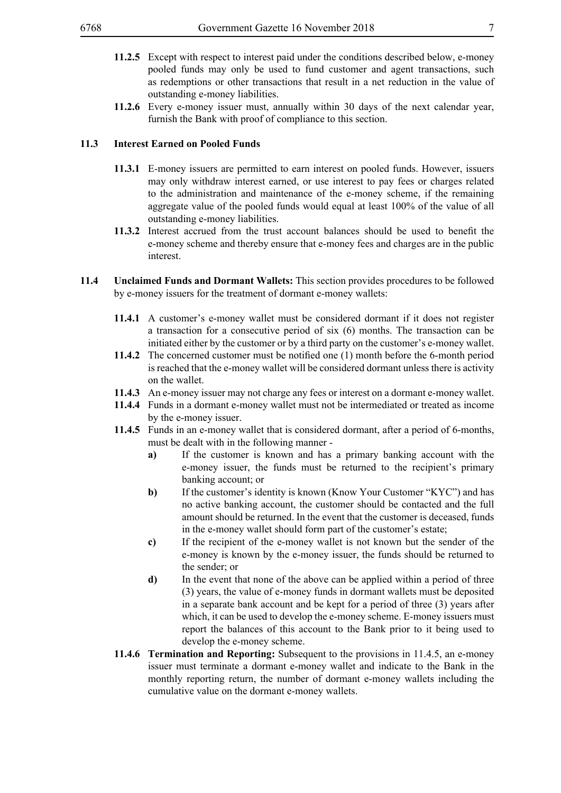- 
- **11.2.5** Except with respect to interest paid under the conditions described below, e-money pooled funds may only be used to fund customer and agent transactions, such as redemptions or other transactions that result in a net reduction in the value of outstanding e-money liabilities.
- **11.2.6** Every e-money issuer must, annually within 30 days of the next calendar year, furnish the Bank with proof of compliance to this section.

#### **11.3 Interest Earned on Pooled Funds**

- **11.3.1** E-money issuers are permitted to earn interest on pooled funds. However, issuers may only withdraw interest earned, or use interest to pay fees or charges related to the administration and maintenance of the e-money scheme, if the remaining aggregate value of the pooled funds would equal at least 100% of the value of all outstanding e-money liabilities.
- **11.3.2** Interest accrued from the trust account balances should be used to benefit the e-money scheme and thereby ensure that e-money fees and charges are in the public interest.
- **11.4 Unclaimed Funds and Dormant Wallets:** This section provides procedures to be followed by e-money issuers for the treatment of dormant e-money wallets:
	- **11.4.1** A customer's e-money wallet must be considered dormant if it does not register a transaction for a consecutive period of six (6) months. The transaction can be initiated either by the customer or by a third party on the customer's e-money wallet.
	- **11.4.2** The concerned customer must be notified one (1) month before the 6-month period is reached that the e-money wallet will be considered dormant unless there is activity on the wallet.
	- **11.4.3** An e-money issuer may not charge any fees or interest on a dormant e-money wallet.
	- **11.4.4** Funds in a dormant e-money wallet must not be intermediated or treated as income by the e-money issuer.
	- **11.4.5** Funds in an e-money wallet that is considered dormant, after a period of 6-months, must be dealt with in the following manner
		- **a)** If the customer is known and has a primary banking account with the e-money issuer, the funds must be returned to the recipient's primary banking account; or
		- **b**) If the customer's identity is known (Know Your Customer "KYC") and has no active banking account, the customer should be contacted and the full amount should be returned. In the event that the customer is deceased, funds in the e-money wallet should form part of the customer's estate;
		- **c)** If the recipient of the e-money wallet is not known but the sender of the e-money is known by the e-money issuer, the funds should be returned to the sender; or
		- **d)** In the event that none of the above can be applied within a period of three (3) years, the value of e-money funds in dormant wallets must be deposited in a separate bank account and be kept for a period of three (3) years after which, it can be used to develop the e-money scheme. E-money issuers must report the balances of this account to the Bank prior to it being used to develop the e-money scheme.
	- **11.4.6 Termination and Reporting:** Subsequent to the provisions in 11.4.5, an e-money issuer must terminate a dormant e-money wallet and indicate to the Bank in the monthly reporting return, the number of dormant e-money wallets including the cumulative value on the dormant e-money wallets.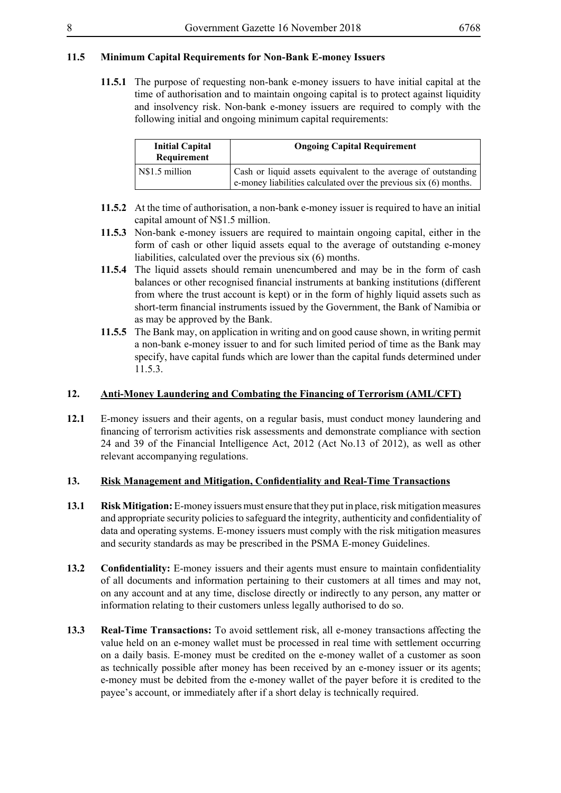# **11.5 Minimum Capital Requirements for Non-Bank E-money Issuers**

**11.5.1** The purpose of requesting non-bank e-money issuers to have initial capital at the time of authorisation and to maintain ongoing capital is to protect against liquidity and insolvency risk. Non-bank e-money issuers are required to comply with the following initial and ongoing minimum capital requirements:

| <b>Initial Capital</b><br>Requirement | <b>Ongoing Capital Requirement</b>                                                                                                      |
|---------------------------------------|-----------------------------------------------------------------------------------------------------------------------------------------|
| N\$1.5 million                        | Cash or liquid assets equivalent to the average of outstanding<br>e-money liabilities calculated over the previous $s$ ix $(6)$ months. |

- **11.5.2** At the time of authorisation, a non-bank e-money issuer is required to have an initial capital amount of N\$1.5 million.
- **11.5.3** Non-bank e-money issuers are required to maintain ongoing capital, either in the form of cash or other liquid assets equal to the average of outstanding e-money liabilities, calculated over the previous six (6) months.
- **11.5.4** The liquid assets should remain unencumbered and may be in the form of cash balances or other recognised financial instruments at banking institutions (different from where the trust account is kept) or in the form of highly liquid assets such as short-term financial instruments issued by the Government, the Bank of Namibia or as may be approved by the Bank.
- **11.5.5** The Bank may, on application in writing and on good cause shown, in writing permit a non-bank e-money issuer to and for such limited period of time as the Bank may specify, have capital funds which are lower than the capital funds determined under 11.5.3.

### **12. Anti-Money Laundering and Combating the Financing of Terrorism (AML/CFT)**

**12.1** E-money issuers and their agents, on a regular basis, must conduct money laundering and financing of terrorism activities risk assessments and demonstrate compliance with section 24 and 39 of the Financial Intelligence Act, 2012 (Act No.13 of 2012), as well as other relevant accompanying regulations.

#### **13. Risk Management and Mitigation, Confidentiality and Real-Time Transactions**

- **13.1 Risk Mitigation:** E-money issuers must ensure that they put in place, risk mitigation measures and appropriate security policiesto safeguard the integrity, authenticity and confidentiality of data and operating systems. E-money issuers must comply with the risk mitigation measures and security standards as may be prescribed in the PSMA E-money Guidelines.
- **13.2 Confidentiality:** E-money issuers and their agents must ensure to maintain confidentiality of all documents and information pertaining to their customers at all times and may not, on any account and at any time, disclose directly or indirectly to any person, any matter or information relating to their customers unless legally authorised to do so.
- **13.3 Real-Time Transactions:** To avoid settlement risk, all e-money transactions affecting the value held on an e-money wallet must be processed in real time with settlement occurring on a daily basis. E-money must be credited on the e-money wallet of a customer as soon as technically possible after money has been received by an e-money issuer or its agents; e-money must be debited from the e-money wallet of the payer before it is credited to the payee's account, or immediately after if a short delay is technically required.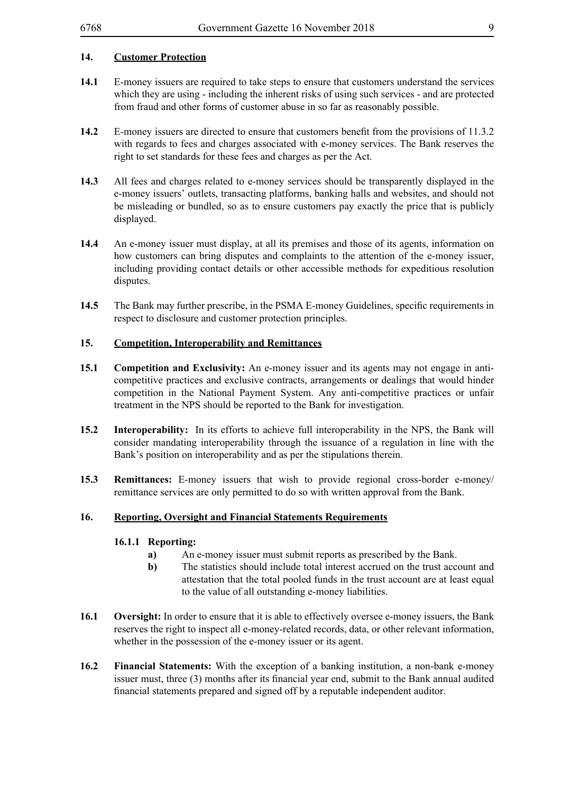# **14. Customer Protection**

- **14.1** E-money issuers are required to take steps to ensure that customers understand the services which they are using - including the inherent risks of using such services - and are protected from fraud and other forms of customer abuse in so far as reasonably possible.
- **14.2** E-money issuers are directed to ensure that customers benefit from the provisions of 11.3.2 with regards to fees and charges associated with e-money services. The Bank reserves the right to set standards for these fees and charges as per the Act.
- **14.3** All fees and charges related to e-money services should be transparently displayed in the e-money issuers' outlets, transacting platforms, banking halls and websites, and should not be misleading or bundled, so as to ensure customers pay exactly the price that is publicly displayed.
- **14.4** An e-money issuer must display, at all its premises and those of its agents, information on how customers can bring disputes and complaints to the attention of the e-money issuer, including providing contact details or other accessible methods for expeditious resolution disputes.
- **14.5** The Bank may further prescribe, in the PSMA E-money Guidelines, specific requirements in respect to disclosure and customer protection principles.

#### **15. Competition, Interoperability and Remittances**

- **15.1 Competition and Exclusivity:** An e-money issuer and its agents may not engage in anticompetitive practices and exclusive contracts, arrangements or dealings that would hinder competition in the National Payment System. Any anti-competitive practices or unfair treatment in the NPS should be reported to the Bank for investigation.
- **15.2 Interoperability:** In its efforts to achieve full interoperability in the NPS, the Bank will consider mandating interoperability through the issuance of a regulation in line with the Bank's position on interoperability and as per the stipulations therein.
- **15.3 Remittances:** E-money issuers that wish to provide regional cross-border e-money/ remittance services are only permitted to do so with written approval from the Bank.

#### **16. Reporting, Oversight and Financial Statements Requirements**

#### **16.1.1 Reporting:**

- **a)** An e-money issuer must submit reports as prescribed by the Bank.
- **b**) The statistics should include total interest accrued on the trust account and attestation that the total pooled funds in the trust account are at least equal to the value of all outstanding e-money liabilities.
- **16.1 Oversight:** In order to ensure that it is able to effectively oversee e-money issuers, the Bank reserves the right to inspect all e-money-related records, data, or other relevant information, whether in the possession of the e-money issuer or its agent.
- **16.2 Financial Statements:** With the exception of a banking institution, a non-bank e-money issuer must, three (3) months after its financial year end, submit to the Bank annual audited financial statements prepared and signed off by a reputable independent auditor.